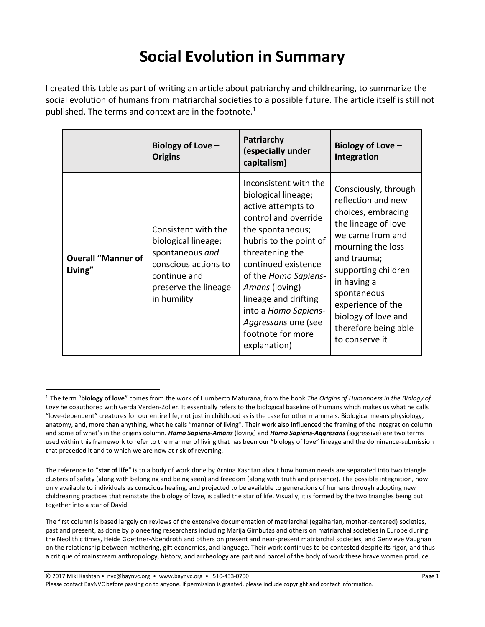## **Social Evolution in Summary**

I created this table as part of writing an article about patriarchy and childrearing, to summarize the social evolution of humans from matriarchal societies to a possible future. The article itself is still not published. The terms and context are in the footnote.<sup>1</sup>

|                                      | Biology of Love -<br><b>Origins</b>                                                                                                          | Patriarchy<br>(especially under<br>capitalism)                                                                                                                                                                                                                                                                                           | Biology of Love -<br>Integration                                                                                                                                                                                                                                                           |
|--------------------------------------|----------------------------------------------------------------------------------------------------------------------------------------------|------------------------------------------------------------------------------------------------------------------------------------------------------------------------------------------------------------------------------------------------------------------------------------------------------------------------------------------|--------------------------------------------------------------------------------------------------------------------------------------------------------------------------------------------------------------------------------------------------------------------------------------------|
| <b>Overall "Manner of</b><br>Living" | Consistent with the<br>biological lineage;<br>spontaneous and<br>conscious actions to<br>continue and<br>preserve the lineage<br>in humility | Inconsistent with the<br>biological lineage;<br>active attempts to<br>control and override<br>the spontaneous;<br>hubris to the point of<br>threatening the<br>continued existence<br>of the Homo Sapiens-<br>Amans (loving)<br>lineage and drifting<br>into a Homo Sapiens-<br>Aggressans one (see<br>footnote for more<br>explanation) | Consciously, through<br>reflection and new<br>choices, embracing<br>the lineage of love<br>we came from and<br>mourning the loss<br>and trauma;<br>supporting children<br>in having a<br>spontaneous<br>experience of the<br>biology of love and<br>therefore being able<br>to conserve it |

 $\overline{a}$ 

<sup>1</sup> The term "**biology of love**" comes from the work of Humberto Maturana, from the book *The Origins of Humanness in the Biology of Love* he coauthored with Gerda Verden-Zöller. It essentially refers to the biological baseline of humans which makes us what he calls "love-dependent" creatures for our entire life, not just in childhood as is the case for other mammals. Biological means physiology, anatomy, and, more than anything, what he calls "manner of living". Their work also influenced the framing of the integration column and some of what's in the origins column. *Homo Sapiens-Amans* (loving) and *Homo Sapiens-Aggresans* (aggressive) are two terms used within this framework to refer to the manner of living that has been our "biology of love" lineage and the dominance-submission that preceded it and to which we are now at risk of reverting.

The reference to "**star of life**" is to a body of work done by Arnina Kashtan about how human needs are separated into two triangle clusters of safety (along with belonging and being seen) and freedom (along with truth and presence). The possible integration, now only available to individuals as conscious healing, and projected to be available to generations of humans through adopting new childrearing practices that reinstate the biology of love, is called the star of life. Visually, it is formed by the two triangles being put together into a star of David.

The first column is based largely on reviews of the extensive documentation of matriarchal (egalitarian, mother-centered) societies, past and present, as done by pioneering researchers including Marija Gimbutas and others on matriarchal societies in Europe during the Neolithic times, Heide Goettner-Abendroth and others on present and near-present matriarchal societies, and Genvieve Vaughan on the relationship between mothering, gift economies, and language. Their work continues to be contested despite its rigor, and thus a critique of mainstream anthropology, history, and archeology are part and parcel of the body of work these brave women produce.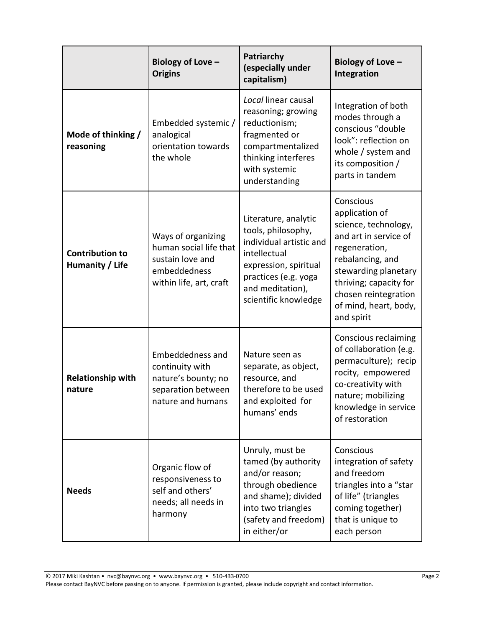|                                           | Biology of Love -<br><b>Origins</b>                                                                         | Patriarchy<br>(especially under<br>capitalism)                                                                                                                                     | Biology of Love -<br>Integration                                                                                                                                                                                                   |
|-------------------------------------------|-------------------------------------------------------------------------------------------------------------|------------------------------------------------------------------------------------------------------------------------------------------------------------------------------------|------------------------------------------------------------------------------------------------------------------------------------------------------------------------------------------------------------------------------------|
| Mode of thinking /<br>reasoning           | Embedded systemic /<br>analogical<br>orientation towards<br>the whole                                       | Local linear causal<br>reasoning; growing<br>reductionism;<br>fragmented or<br>compartmentalized<br>thinking interferes<br>with systemic<br>understanding                          | Integration of both<br>modes through a<br>conscious "double<br>look": reflection on<br>whole / system and<br>its composition /<br>parts in tandem                                                                                  |
| <b>Contribution to</b><br>Humanity / Life | Ways of organizing<br>human social life that<br>sustain love and<br>embeddedness<br>within life, art, craft | Literature, analytic<br>tools, philosophy,<br>individual artistic and<br>intellectual<br>expression, spiritual<br>practices (e.g. yoga<br>and meditation),<br>scientific knowledge | Conscious<br>application of<br>science, technology,<br>and art in service of<br>regeneration,<br>rebalancing, and<br>stewarding planetary<br>thriving; capacity for<br>chosen reintegration<br>of mind, heart, body,<br>and spirit |
| <b>Relationship with</b><br>nature        | Embeddedness and<br>continuity with<br>nature's bounty; no<br>separation between<br>nature and humans       | Nature seen as<br>separate, as object,<br>resource, and<br>therefore to be used<br>and exploited for<br>humans' ends                                                               | Conscious reclaiming<br>of collaboration (e.g.<br>permaculture); recip<br>rocity, empowered<br>co-creativity with<br>nature; mobilizing<br>knowledge in service<br>of restoration                                                  |
| <b>Needs</b>                              | Organic flow of<br>responsiveness to<br>self and others'<br>needs; all needs in<br>harmony                  | Unruly, must be<br>tamed (by authority<br>and/or reason;<br>through obedience<br>and shame); divided<br>into two triangles<br>(safety and freedom)<br>in either/or                 | Conscious<br>integration of safety<br>and freedom<br>triangles into a "star<br>of life" (triangles<br>coming together)<br>that is unique to<br>each person                                                                         |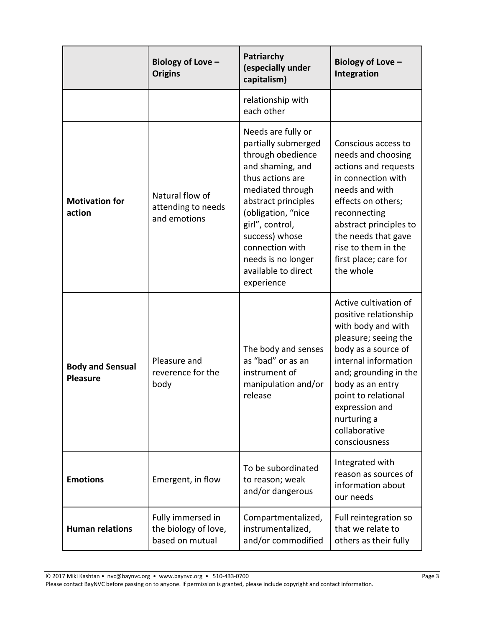|                                            | Biology of Love -<br><b>Origins</b>                          | Patriarchy<br>(especially under<br>capitalism)                                                                                                                                                                                                                                             | Biology of Love -<br>Integration                                                                                                                                                                                                                                                   |
|--------------------------------------------|--------------------------------------------------------------|--------------------------------------------------------------------------------------------------------------------------------------------------------------------------------------------------------------------------------------------------------------------------------------------|------------------------------------------------------------------------------------------------------------------------------------------------------------------------------------------------------------------------------------------------------------------------------------|
|                                            |                                                              | relationship with<br>each other                                                                                                                                                                                                                                                            |                                                                                                                                                                                                                                                                                    |
| <b>Motivation for</b><br>action            | Natural flow of<br>attending to needs<br>and emotions        | Needs are fully or<br>partially submerged<br>through obedience<br>and shaming, and<br>thus actions are<br>mediated through<br>abstract principles<br>(obligation, "nice<br>girl", control,<br>success) whose<br>connection with<br>needs is no longer<br>available to direct<br>experience | Conscious access to<br>needs and choosing<br>actions and requests<br>in connection with<br>needs and with<br>effects on others;<br>reconnecting<br>abstract principles to<br>the needs that gave<br>rise to them in the<br>first place; care for<br>the whole                      |
| <b>Body and Sensual</b><br><b>Pleasure</b> | Pleasure and<br>reverence for the<br>body                    | The body and senses<br>as "bad" or as an<br>instrument of<br>manipulation and/or<br>release                                                                                                                                                                                                | Active cultivation of<br>positive relationship<br>with body and with<br>pleasure; seeing the<br>body as a source of<br>internal information<br>and; grounding in the<br>body as an entry<br>point to relational<br>expression and<br>nurturing a<br>collaborative<br>consciousness |
| <b>Emotions</b>                            | Emergent, in flow                                            | To be subordinated<br>to reason; weak<br>and/or dangerous                                                                                                                                                                                                                                  | Integrated with<br>reason as sources of<br>information about<br>our needs                                                                                                                                                                                                          |
| <b>Human relations</b>                     | Fully immersed in<br>the biology of love,<br>based on mutual | Compartmentalized,<br>instrumentalized,<br>and/or commodified                                                                                                                                                                                                                              | Full reintegration so<br>that we relate to<br>others as their fully                                                                                                                                                                                                                |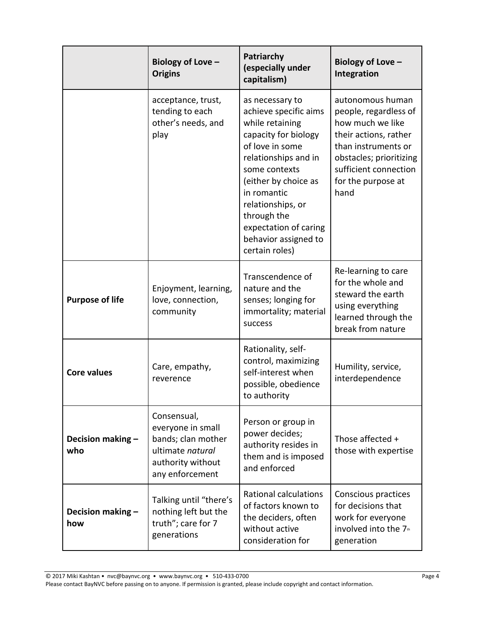|                          | Biology of Love -<br><b>Origins</b>                                                                                | Patriarchy<br>(especially under<br>capitalism)                                                                                                                                                                                                                                                | Biology of Love -<br>Integration                                                                                                                                                                |
|--------------------------|--------------------------------------------------------------------------------------------------------------------|-----------------------------------------------------------------------------------------------------------------------------------------------------------------------------------------------------------------------------------------------------------------------------------------------|-------------------------------------------------------------------------------------------------------------------------------------------------------------------------------------------------|
|                          | acceptance, trust,<br>tending to each<br>other's needs, and<br>play                                                | as necessary to<br>achieve specific aims<br>while retaining<br>capacity for biology<br>of love in some<br>relationships and in<br>some contexts<br>(either by choice as<br>in romantic<br>relationships, or<br>through the<br>expectation of caring<br>behavior assigned to<br>certain roles) | autonomous human<br>people, regardless of<br>how much we like<br>their actions, rather<br>than instruments or<br>obstacles; prioritizing<br>sufficient connection<br>for the purpose at<br>hand |
| <b>Purpose of life</b>   | Enjoyment, learning,<br>love, connection,<br>community                                                             | Transcendence of<br>nature and the<br>senses; longing for<br>immortality; material<br>success                                                                                                                                                                                                 | Re-learning to care<br>for the whole and<br>steward the earth<br>using everything<br>learned through the<br>break from nature                                                                   |
| <b>Core values</b>       | Care, empathy,<br>reverence                                                                                        | Rationality, self-<br>control, maximizing<br>self-interest when<br>possible, obedience<br>to authority                                                                                                                                                                                        | Humility, service,<br>interdependence                                                                                                                                                           |
| Decision making -<br>who | Consensual,<br>everyone in small<br>bands; clan mother<br>ultimate natural<br>authority without<br>any enforcement | Person or group in<br>power decides;<br>authority resides in<br>them and is imposed<br>and enforced                                                                                                                                                                                           | Those affected +<br>those with expertise                                                                                                                                                        |
| Decision making -<br>how | Talking until "there's<br>nothing left but the<br>truth"; care for 7<br>generations                                | <b>Rational calculations</b><br>of factors known to<br>the deciders, often<br>without active<br>consideration for                                                                                                                                                                             | Conscious practices<br>for decisions that<br>work for everyone<br>involved into the 7th<br>generation                                                                                           |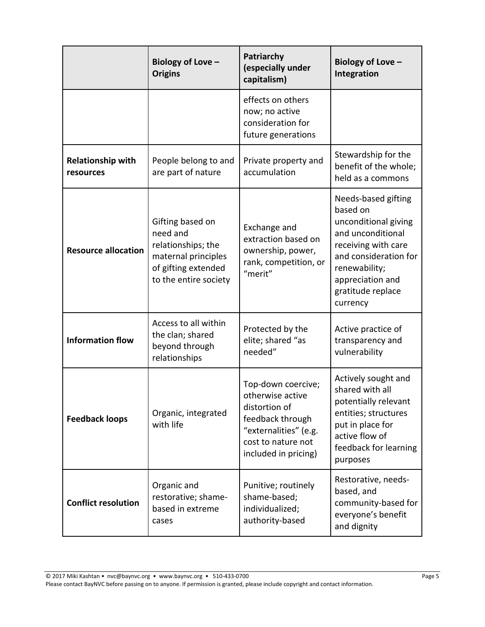|                                       | Biology of Love -<br><b>Origins</b>                                                                                       | Patriarchy<br>(especially under<br>capitalism)                                                                                                     | Biology of Love -<br>Integration                                                                                                                                                                   |
|---------------------------------------|---------------------------------------------------------------------------------------------------------------------------|----------------------------------------------------------------------------------------------------------------------------------------------------|----------------------------------------------------------------------------------------------------------------------------------------------------------------------------------------------------|
|                                       |                                                                                                                           | effects on others<br>now; no active<br>consideration for<br>future generations                                                                     |                                                                                                                                                                                                    |
| <b>Relationship with</b><br>resources | People belong to and<br>are part of nature                                                                                | Private property and<br>accumulation                                                                                                               | Stewardship for the<br>benefit of the whole;<br>held as a commons                                                                                                                                  |
| <b>Resource allocation</b>            | Gifting based on<br>need and<br>relationships; the<br>maternal principles<br>of gifting extended<br>to the entire society | Exchange and<br>extraction based on<br>ownership, power,<br>rank, competition, or<br>"merit"                                                       | Needs-based gifting<br>based on<br>unconditional giving<br>and unconditional<br>receiving with care<br>and consideration for<br>renewability;<br>appreciation and<br>gratitude replace<br>currency |
| <b>Information flow</b>               | Access to all within<br>the clan; shared<br>beyond through<br>relationships                                               | Protected by the<br>elite; shared "as<br>needed"                                                                                                   | Active practice of<br>transparency and<br>vulnerability                                                                                                                                            |
| <b>Feedback loops</b>                 | Organic, integrated<br>with life                                                                                          | Top-down coercive;<br>otherwise active<br>distortion of<br>feedback through<br>"externalities" (e.g.<br>cost to nature not<br>included in pricing) | Actively sought and<br>shared with all<br>potentially relevant<br>entities; structures<br>put in place for<br>active flow of<br>feedback for learning<br>purposes                                  |
| <b>Conflict resolution</b>            | Organic and<br>restorative; shame-<br>based in extreme<br>cases                                                           | Punitive; routinely<br>shame-based;<br>individualized;<br>authority-based                                                                          | Restorative, needs-<br>based, and<br>community-based for<br>everyone's benefit<br>and dignity                                                                                                      |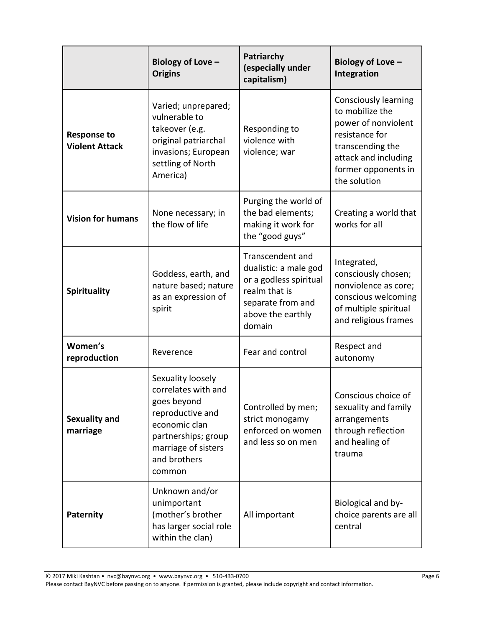|                                             | Biology of Love -<br><b>Origins</b>                                                                                                                                  | Patriarchy<br>(especially under<br>capitalism)                                                                                           | Biology of Love -<br>Integration                                                                                                                                           |
|---------------------------------------------|----------------------------------------------------------------------------------------------------------------------------------------------------------------------|------------------------------------------------------------------------------------------------------------------------------------------|----------------------------------------------------------------------------------------------------------------------------------------------------------------------------|
| <b>Response to</b><br><b>Violent Attack</b> | Varied; unprepared;<br>vulnerable to<br>takeover (e.g.<br>original patriarchal<br>invasions; European<br>settling of North<br>America)                               | Responding to<br>violence with<br>violence; war                                                                                          | <b>Consciously learning</b><br>to mobilize the<br>power of nonviolent<br>resistance for<br>transcending the<br>attack and including<br>former opponents in<br>the solution |
| <b>Vision for humans</b>                    | None necessary; in<br>the flow of life                                                                                                                               | Purging the world of<br>the bad elements;<br>making it work for<br>the "good guys"                                                       | Creating a world that<br>works for all                                                                                                                                     |
| <b>Spirituality</b>                         | Goddess, earth, and<br>nature based; nature<br>as an expression of<br>spirit                                                                                         | Transcendent and<br>dualistic: a male god<br>or a godless spiritual<br>realm that is<br>separate from and<br>above the earthly<br>domain | Integrated,<br>consciously chosen;<br>nonviolence as core;<br>conscious welcoming<br>of multiple spiritual<br>and religious frames                                         |
| Women's<br>reproduction                     | Reverence                                                                                                                                                            | Fear and control                                                                                                                         | Respect and<br>autonomy                                                                                                                                                    |
| <b>Sexuality and</b><br>marriage            | Sexuality loosely<br>correlates with and<br>goes beyond<br>reproductive and<br>economic clan<br>partnerships; group<br>marriage of sisters<br>and brothers<br>common | Controlled by men;<br>strict monogamy<br>enforced on women<br>and less so on men                                                         | Conscious choice of<br>sexuality and family<br>arrangements<br>through reflection<br>and healing of<br>trauma                                                              |
| Paternity                                   | Unknown and/or<br>unimportant<br>(mother's brother<br>has larger social role<br>within the clan)                                                                     | All important                                                                                                                            | Biological and by-<br>choice parents are all<br>central                                                                                                                    |